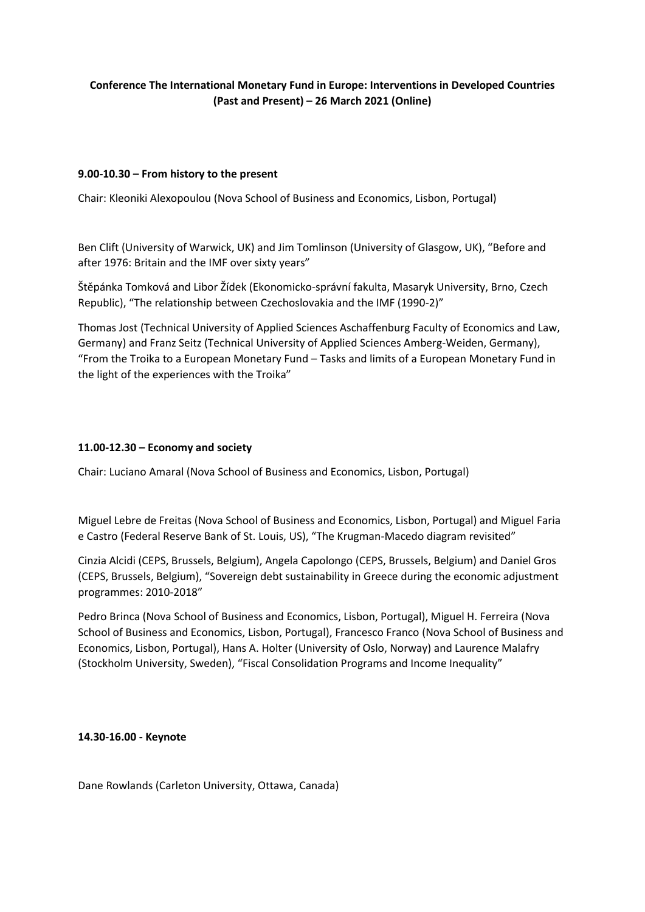# **Conference The International Monetary Fund in Europe: Interventions in Developed Countries (Past and Present) – 26 March 2021 (Online)**

# **9.00-10.30 – From history to the present**

Chair: Kleoniki Alexopoulou (Nova School of Business and Economics, Lisbon, Portugal)

Ben Clift (University of Warwick, UK) and Jim Tomlinson (University of Glasgow, UK), "Before and after 1976: Britain and the IMF over sixty years"

Štěpánka Tomková and Libor Žídek (Ekonomicko-správní fakulta, Masaryk University, Brno, Czech Republic), "The relationship between Czechoslovakia and the IMF (1990-2)"

Thomas Jost (Technical University of Applied Sciences Aschaffenburg Faculty of Economics and Law, Germany) and Franz Seitz (Technical University of Applied Sciences Amberg-Weiden, Germany), "From the Troika to a European Monetary Fund – Tasks and limits of a European Monetary Fund in the light of the experiences with the Troika"

# **11.00-12.30 – Economy and society**

Chair: Luciano Amaral (Nova School of Business and Economics, Lisbon, Portugal)

Miguel Lebre de Freitas (Nova School of Business and Economics, Lisbon, Portugal) and Miguel Faria e Castro (Federal Reserve Bank of St. Louis, US), "The Krugman-Macedo diagram revisited"

Cinzia Alcidi (CEPS, Brussels, Belgium), Angela Capolongo (CEPS, Brussels, Belgium) and Daniel Gros (CEPS, Brussels, Belgium), "Sovereign debt sustainability in Greece during the economic adjustment programmes: 2010-2018"

Pedro Brinca (Nova School of Business and Economics, Lisbon, Portugal), Miguel H. Ferreira (Nova School of Business and Economics, Lisbon, Portugal), Francesco Franco (Nova School of Business and Economics, Lisbon, Portugal), Hans A. Holter (University of Oslo, Norway) and Laurence Malafry (Stockholm University, Sweden), "Fiscal Consolidation Programs and Income Inequality"

### **14.30-16.00 - Keynote**

Dane Rowlands (Carleton University, Ottawa, Canada)